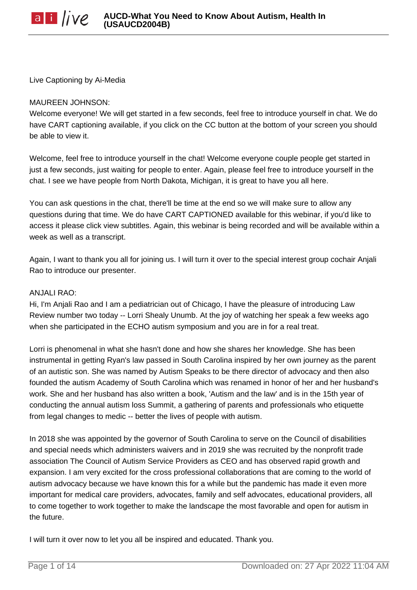

Live Captioning by Ai-Media

# MAUREEN JOHNSON:

Welcome everyone! We will get started in a few seconds, feel free to introduce yourself in chat. We do have CART captioning available, if you click on the CC button at the bottom of your screen you should be able to view it.

Welcome, feel free to introduce yourself in the chat! Welcome everyone couple people get started in just a few seconds, just waiting for people to enter. Again, please feel free to introduce yourself in the chat. I see we have people from North Dakota, Michigan, it is great to have you all here.

You can ask questions in the chat, there'll be time at the end so we will make sure to allow any questions during that time. We do have CART CAPTIONED available for this webinar, if you'd like to access it please click view subtitles. Again, this webinar is being recorded and will be available within a week as well as a transcript.

Again, I want to thank you all for joining us. I will turn it over to the special interest group cochair Anjali Rao to introduce our presenter.

# ANJALI RAO:

Hi, I'm Anjali Rao and I am a pediatrician out of Chicago, I have the pleasure of introducing Law Review number two today -- Lorri Shealy Unumb. At the joy of watching her speak a few weeks ago when she participated in the ECHO autism symposium and you are in for a real treat.

Lorri is phenomenal in what she hasn't done and how she shares her knowledge. She has been instrumental in getting Ryan's law passed in South Carolina inspired by her own journey as the parent of an autistic son. She was named by Autism Speaks to be there director of advocacy and then also founded the autism Academy of South Carolina which was renamed in honor of her and her husband's work. She and her husband has also written a book, 'Autism and the law' and is in the 15th year of conducting the annual autism loss Summit, a gathering of parents and professionals who etiquette from legal changes to medic -- better the lives of people with autism.

In 2018 she was appointed by the governor of South Carolina to serve on the Council of disabilities and special needs which administers waivers and in 2019 she was recruited by the nonprofit trade association The Council of Autism Service Providers as CEO and has observed rapid growth and expansion. I am very excited for the cross professional collaborations that are coming to the world of autism advocacy because we have known this for a while but the pandemic has made it even more important for medical care providers, advocates, family and self advocates, educational providers, all to come together to work together to make the landscape the most favorable and open for autism in the future.

I will turn it over now to let you all be inspired and educated. Thank you.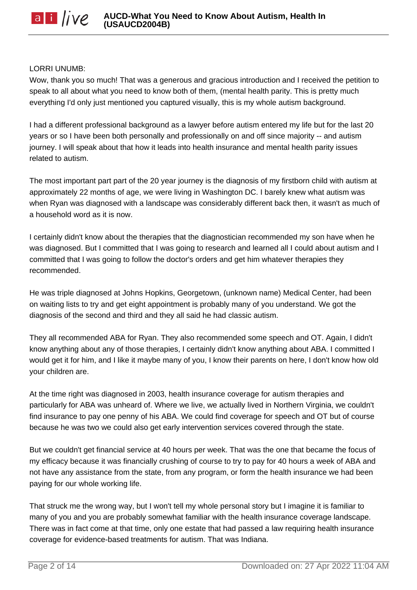## LORRI UNUMB:

Wow, thank you so much! That was a generous and gracious introduction and I received the petition to speak to all about what you need to know both of them, (mental health parity. This is pretty much everything I'd only just mentioned you captured visually, this is my whole autism background.

I had a different professional background as a lawyer before autism entered my life but for the last 20 years or so I have been both personally and professionally on and off since majority -- and autism journey. I will speak about that how it leads into health insurance and mental health parity issues related to autism.

The most important part part of the 20 year journey is the diagnosis of my firstborn child with autism at approximately 22 months of age, we were living in Washington DC. I barely knew what autism was when Ryan was diagnosed with a landscape was considerably different back then, it wasn't as much of a household word as it is now.

I certainly didn't know about the therapies that the diagnostician recommended my son have when he was diagnosed. But I committed that I was going to research and learned all I could about autism and I committed that I was going to follow the doctor's orders and get him whatever therapies they recommended.

He was triple diagnosed at Johns Hopkins, Georgetown, (unknown name) Medical Center, had been on waiting lists to try and get eight appointment is probably many of you understand. We got the diagnosis of the second and third and they all said he had classic autism.

They all recommended ABA for Ryan. They also recommended some speech and OT. Again, I didn't know anything about any of those therapies, I certainly didn't know anything about ABA. I committed I would get it for him, and I like it maybe many of you, I know their parents on here, I don't know how old your children are.

At the time right was diagnosed in 2003, health insurance coverage for autism therapies and particularly for ABA was unheard of. Where we live, we actually lived in Northern Virginia, we couldn't find insurance to pay one penny of his ABA. We could find coverage for speech and OT but of course because he was two we could also get early intervention services covered through the state.

But we couldn't get financial service at 40 hours per week. That was the one that became the focus of my efficacy because it was financially crushing of course to try to pay for 40 hours a week of ABA and not have any assistance from the state, from any program, or form the health insurance we had been paying for our whole working life.

That struck me the wrong way, but I won't tell my whole personal story but I imagine it is familiar to many of you and you are probably somewhat familiar with the health insurance coverage landscape. There was in fact come at that time, only one estate that had passed a law requiring health insurance coverage for evidence-based treatments for autism. That was Indiana.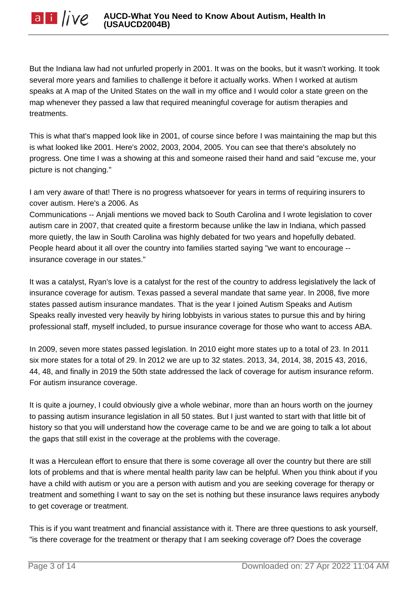But the Indiana law had not unfurled properly in 2001. It was on the books, but it wasn't working. It took several more years and families to challenge it before it actually works. When I worked at autism speaks at A map of the United States on the wall in my office and I would color a state green on the map whenever they passed a law that required meaningful coverage for autism therapies and treatments.

This is what that's mapped look like in 2001, of course since before I was maintaining the map but this is what looked like 2001. Here's 2002, 2003, 2004, 2005. You can see that there's absolutely no progress. One time I was a showing at this and someone raised their hand and said "excuse me, your picture is not changing."

I am very aware of that! There is no progress whatsoever for years in terms of requiring insurers to cover autism. Here's a 2006. As

Communications -- Anjali mentions we moved back to South Carolina and I wrote legislation to cover autism care in 2007, that created quite a firestorm because unlike the law in Indiana, which passed more quietly, the law in South Carolina was highly debated for two years and hopefully debated. People heard about it all over the country into families started saying "we want to encourage - insurance coverage in our states."

It was a catalyst, Ryan's love is a catalyst for the rest of the country to address legislatively the lack of insurance coverage for autism. Texas passed a several mandate that same year. In 2008, five more states passed autism insurance mandates. That is the year I joined Autism Speaks and Autism Speaks really invested very heavily by hiring lobbyists in various states to pursue this and by hiring professional staff, myself included, to pursue insurance coverage for those who want to access ABA.

In 2009, seven more states passed legislation. In 2010 eight more states up to a total of 23. In 2011 six more states for a total of 29. In 2012 we are up to 32 states. 2013, 34, 2014, 38, 2015 43, 2016, 44, 48, and finally in 2019 the 50th state addressed the lack of coverage for autism insurance reform. For autism insurance coverage.

It is quite a journey, I could obviously give a whole webinar, more than an hours worth on the journey to passing autism insurance legislation in all 50 states. But I just wanted to start with that little bit of history so that you will understand how the coverage came to be and we are going to talk a lot about the gaps that still exist in the coverage at the problems with the coverage.

It was a Herculean effort to ensure that there is some coverage all over the country but there are still lots of problems and that is where mental health parity law can be helpful. When you think about if you have a child with autism or you are a person with autism and you are seeking coverage for therapy or treatment and something I want to say on the set is nothing but these insurance laws requires anybody to get coverage or treatment.

This is if you want treatment and financial assistance with it. There are three questions to ask yourself, "is there coverage for the treatment or therapy that I am seeking coverage of? Does the coverage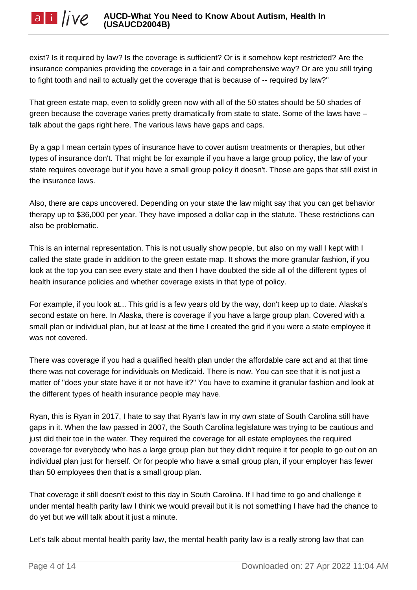exist? Is it required by law? Is the coverage is sufficient? Or is it somehow kept restricted? Are the insurance companies providing the coverage in a fair and comprehensive way? Or are you still trying to fight tooth and nail to actually get the coverage that is because of -- required by law?"

That green estate map, even to solidly green now with all of the 50 states should be 50 shades of green because the coverage varies pretty dramatically from state to state. Some of the laws have – talk about the gaps right here. The various laws have gaps and caps.

By a gap I mean certain types of insurance have to cover autism treatments or therapies, but other types of insurance don't. That might be for example if you have a large group policy, the law of your state requires coverage but if you have a small group policy it doesn't. Those are gaps that still exist in the insurance laws.

Also, there are caps uncovered. Depending on your state the law might say that you can get behavior therapy up to \$36,000 per year. They have imposed a dollar cap in the statute. These restrictions can also be problematic.

This is an internal representation. This is not usually show people, but also on my wall I kept with I called the state grade in addition to the green estate map. It shows the more granular fashion, if you look at the top you can see every state and then I have doubted the side all of the different types of health insurance policies and whether coverage exists in that type of policy.

For example, if you look at... This grid is a few years old by the way, don't keep up to date. Alaska's second estate on here. In Alaska, there is coverage if you have a large group plan. Covered with a small plan or individual plan, but at least at the time I created the grid if you were a state employee it was not covered.

There was coverage if you had a qualified health plan under the affordable care act and at that time there was not coverage for individuals on Medicaid. There is now. You can see that it is not just a matter of "does your state have it or not have it?" You have to examine it granular fashion and look at the different types of health insurance people may have.

Ryan, this is Ryan in 2017, I hate to say that Ryan's law in my own state of South Carolina still have gaps in it. When the law passed in 2007, the South Carolina legislature was trying to be cautious and just did their toe in the water. They required the coverage for all estate employees the required coverage for everybody who has a large group plan but they didn't require it for people to go out on an individual plan just for herself. Or for people who have a small group plan, if your employer has fewer than 50 employees then that is a small group plan.

That coverage it still doesn't exist to this day in South Carolina. If I had time to go and challenge it under mental health parity law I think we would prevail but it is not something I have had the chance to do yet but we will talk about it just a minute.

Let's talk about mental health parity law, the mental health parity law is a really strong law that can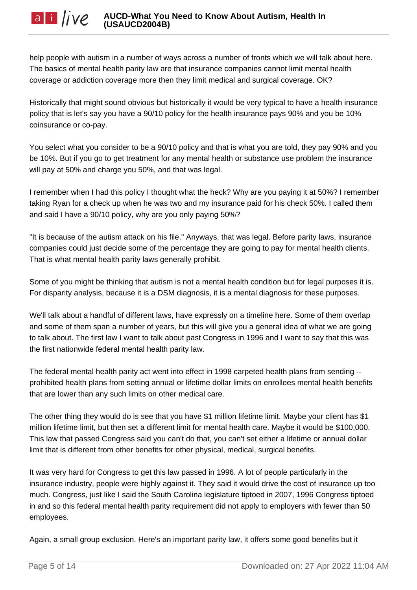help people with autism in a number of ways across a number of fronts which we will talk about here. The basics of mental health parity law are that insurance companies cannot limit mental health coverage or addiction coverage more then they limit medical and surgical coverage. OK?

Historically that might sound obvious but historically it would be very typical to have a health insurance policy that is let's say you have a 90/10 policy for the health insurance pays 90% and you be 10% coinsurance or co-pay.

You select what you consider to be a 90/10 policy and that is what you are told, they pay 90% and you be 10%. But if you go to get treatment for any mental health or substance use problem the insurance will pay at 50% and charge you 50%, and that was legal.

I remember when I had this policy I thought what the heck? Why are you paying it at 50%? I remember taking Ryan for a check up when he was two and my insurance paid for his check 50%. I called them and said I have a 90/10 policy, why are you only paying 50%?

"It is because of the autism attack on his file." Anyways, that was legal. Before parity laws, insurance companies could just decide some of the percentage they are going to pay for mental health clients. That is what mental health parity laws generally prohibit.

Some of you might be thinking that autism is not a mental health condition but for legal purposes it is. For disparity analysis, because it is a DSM diagnosis, it is a mental diagnosis for these purposes.

We'll talk about a handful of different laws, have expressly on a timeline here. Some of them overlap and some of them span a number of years, but this will give you a general idea of what we are going to talk about. The first law I want to talk about past Congress in 1996 and I want to say that this was the first nationwide federal mental health parity law.

The federal mental health parity act went into effect in 1998 carpeted health plans from sending - prohibited health plans from setting annual or lifetime dollar limits on enrollees mental health benefits that are lower than any such limits on other medical care.

The other thing they would do is see that you have \$1 million lifetime limit. Maybe your client has \$1 million lifetime limit, but then set a different limit for mental health care. Maybe it would be \$100,000. This law that passed Congress said you can't do that, you can't set either a lifetime or annual dollar limit that is different from other benefits for other physical, medical, surgical benefits.

It was very hard for Congress to get this law passed in 1996. A lot of people particularly in the insurance industry, people were highly against it. They said it would drive the cost of insurance up too much. Congress, just like I said the South Carolina legislature tiptoed in 2007, 1996 Congress tiptoed in and so this federal mental health parity requirement did not apply to employers with fewer than 50 employees.

Again, a small group exclusion. Here's an important parity law, it offers some good benefits but it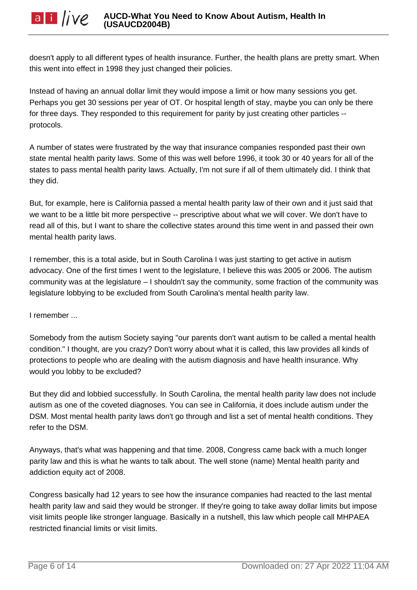doesn't apply to all different types of health insurance. Further, the health plans are pretty smart. When this went into effect in 1998 they just changed their policies.

Instead of having an annual dollar limit they would impose a limit or how many sessions you get. Perhaps you get 30 sessions per year of OT. Or hospital length of stay, maybe you can only be there for three days. They responded to this requirement for parity by just creating other particles - protocols.

A number of states were frustrated by the way that insurance companies responded past their own state mental health parity laws. Some of this was well before 1996, it took 30 or 40 years for all of the states to pass mental health parity laws. Actually, I'm not sure if all of them ultimately did. I think that they did.

But, for example, here is California passed a mental health parity law of their own and it just said that we want to be a little bit more perspective -- prescriptive about what we will cover. We don't have to read all of this, but I want to share the collective states around this time went in and passed their own mental health parity laws.

I remember, this is a total aside, but in South Carolina I was just starting to get active in autism advocacy. One of the first times I went to the legislature, I believe this was 2005 or 2006. The autism community was at the legislature – I shouldn't say the community, some fraction of the community was legislature lobbying to be excluded from South Carolina's mental health parity law.

I remember ...

Somebody from the autism Society saying "our parents don't want autism to be called a mental health condition." I thought, are you crazy? Don't worry about what it is called, this law provides all kinds of protections to people who are dealing with the autism diagnosis and have health insurance. Why would you lobby to be excluded?

But they did and lobbied successfully. In South Carolina, the mental health parity law does not include autism as one of the coveted diagnoses. You can see in California, it does include autism under the DSM. Most mental health parity laws don't go through and list a set of mental health conditions. They refer to the DSM.

Anyways, that's what was happening and that time. 2008, Congress came back with a much longer parity law and this is what he wants to talk about. The well stone (name) Mental health parity and addiction equity act of 2008.

Congress basically had 12 years to see how the insurance companies had reacted to the last mental health parity law and said they would be stronger. If they're going to take away dollar limits but impose visit limits people like stronger language. Basically in a nutshell, this law which people call MHPAEA restricted financial limits or visit limits.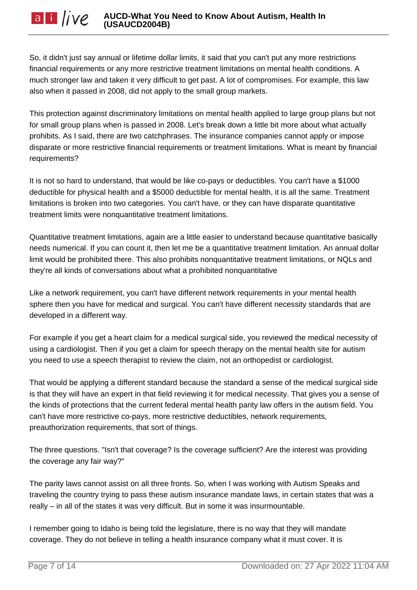So, it didn't just say annual or lifetime dollar limits, it said that you can't put any more restrictions financial requirements or any more restrictive treatment limitations on mental health conditions. A much stronger law and taken it very difficult to get past. A lot of compromises. For example, this law also when it passed in 2008, did not apply to the small group markets.

This protection against discriminatory limitations on mental health applied to large group plans but not for small group plans when is passed in 2008. Let's break down a little bit more about what actually prohibits. As I said, there are two catchphrases. The insurance companies cannot apply or impose disparate or more restrictive financial requirements or treatment limitations. What is meant by financial requirements?

It is not so hard to understand, that would be like co-pays or deductibles. You can't have a \$1000 deductible for physical health and a \$5000 deductible for mental health, it is all the same. Treatment limitations is broken into two categories. You can't have, or they can have disparate quantitative treatment limits were nonquantitative treatment limitations.

Quantitative treatment limitations, again are a little easier to understand because quantitative basically needs numerical. If you can count it, then let me be a quantitative treatment limitation. An annual dollar limit would be prohibited there. This also prohibits nonquantitative treatment limitations, or NQLs and they're all kinds of conversations about what a prohibited nonquantitative

Like a network requirement, you can't have different network requirements in your mental health sphere then you have for medical and surgical. You can't have different necessity standards that are developed in a different way.

For example if you get a heart claim for a medical surgical side, you reviewed the medical necessity of using a cardiologist. Then if you get a claim for speech therapy on the mental health site for autism you need to use a speech therapist to review the claim, not an orthopedist or cardiologist.

That would be applying a different standard because the standard a sense of the medical surgical side is that they will have an expert in that field reviewing it for medical necessity. That gives you a sense of the kinds of protections that the current federal mental health parity law offers in the autism field. You can't have more restrictive co-pays, more restrictive deductibles, network requirements, preauthorization requirements, that sort of things.

The three questions. "Isn't that coverage? Is the coverage sufficient? Are the interest was providing the coverage any fair way?"

The parity laws cannot assist on all three fronts. So, when I was working with Autism Speaks and traveling the country trying to pass these autism insurance mandate laws, in certain states that was a really – in all of the states it was very difficult. But in some it was insurmountable.

I remember going to Idaho is being told the legislature, there is no way that they will mandate coverage. They do not believe in telling a health insurance company what it must cover. It is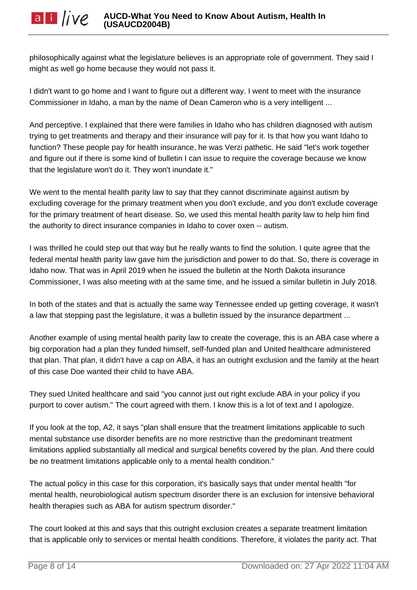philosophically against what the legislature believes is an appropriate role of government. They said I might as well go home because they would not pass it.

I didn't want to go home and I want to figure out a different way. I went to meet with the insurance Commissioner in Idaho, a man by the name of Dean Cameron who is a very intelligent ...

And perceptive. I explained that there were families in Idaho who has children diagnosed with autism trying to get treatments and therapy and their insurance will pay for it. Is that how you want Idaho to function? These people pay for health insurance, he was Verzi pathetic. He said "let's work together and figure out if there is some kind of bulletin I can issue to require the coverage because we know that the legislature won't do it. They won't inundate it."

We went to the mental health parity law to say that they cannot discriminate against autism by excluding coverage for the primary treatment when you don't exclude, and you don't exclude coverage for the primary treatment of heart disease. So, we used this mental health parity law to help him find the authority to direct insurance companies in Idaho to cover oxen -- autism.

I was thrilled he could step out that way but he really wants to find the solution. I quite agree that the federal mental health parity law gave him the jurisdiction and power to do that. So, there is coverage in Idaho now. That was in April 2019 when he issued the bulletin at the North Dakota insurance Commissioner, I was also meeting with at the same time, and he issued a similar bulletin in July 2018.

In both of the states and that is actually the same way Tennessee ended up getting coverage, it wasn't a law that stepping past the legislature, it was a bulletin issued by the insurance department ...

Another example of using mental health parity law to create the coverage, this is an ABA case where a big corporation had a plan they funded himself, self-funded plan and United healthcare administered that plan. That plan, it didn't have a cap on ABA, it has an outright exclusion and the family at the heart of this case Doe wanted their child to have ABA.

They sued United healthcare and said "you cannot just out right exclude ABA in your policy if you purport to cover autism." The court agreed with them. I know this is a lot of text and I apologize.

If you look at the top, A2, it says "plan shall ensure that the treatment limitations applicable to such mental substance use disorder benefits are no more restrictive than the predominant treatment limitations applied substantially all medical and surgical benefits covered by the plan. And there could be no treatment limitations applicable only to a mental health condition."

The actual policy in this case for this corporation, it's basically says that under mental health "for mental health, neurobiological autism spectrum disorder there is an exclusion for intensive behavioral health therapies such as ABA for autism spectrum disorder."

The court looked at this and says that this outright exclusion creates a separate treatment limitation that is applicable only to services or mental health conditions. Therefore, it violates the parity act. That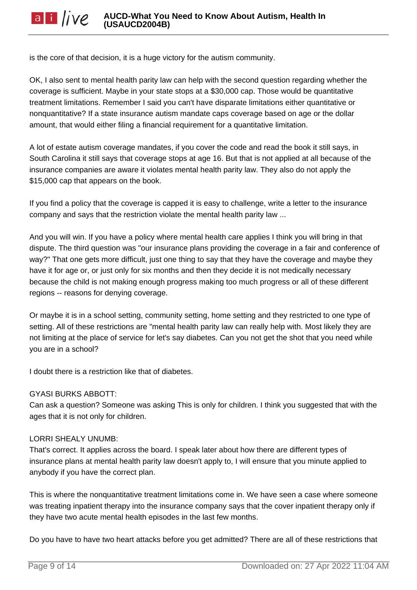is the core of that decision, it is a huge victory for the autism community.

OK, I also sent to mental health parity law can help with the second question regarding whether the coverage is sufficient. Maybe in your state stops at a \$30,000 cap. Those would be quantitative treatment limitations. Remember I said you can't have disparate limitations either quantitative or nonquantitative? If a state insurance autism mandate caps coverage based on age or the dollar amount, that would either filing a financial requirement for a quantitative limitation.

A lot of estate autism coverage mandates, if you cover the code and read the book it still says, in South Carolina it still says that coverage stops at age 16. But that is not applied at all because of the insurance companies are aware it violates mental health parity law. They also do not apply the \$15,000 cap that appears on the book.

If you find a policy that the coverage is capped it is easy to challenge, write a letter to the insurance company and says that the restriction violate the mental health parity law ...

And you will win. If you have a policy where mental health care applies I think you will bring in that dispute. The third question was "our insurance plans providing the coverage in a fair and conference of way?" That one gets more difficult, just one thing to say that they have the coverage and maybe they have it for age or, or just only for six months and then they decide it is not medically necessary because the child is not making enough progress making too much progress or all of these different regions -- reasons for denying coverage.

Or maybe it is in a school setting, community setting, home setting and they restricted to one type of setting. All of these restrictions are "mental health parity law can really help with. Most likely they are not limiting at the place of service for let's say diabetes. Can you not get the shot that you need while you are in a school?

I doubt there is a restriction like that of diabetes.

## GYASI BURKS ABBOTT:

Can ask a question? Someone was asking This is only for children. I think you suggested that with the ages that it is not only for children.

## LORRI SHEALY UNUMB:

That's correct. It applies across the board. I speak later about how there are different types of insurance plans at mental health parity law doesn't apply to, I will ensure that you minute applied to anybody if you have the correct plan.

This is where the nonquantitative treatment limitations come in. We have seen a case where someone was treating inpatient therapy into the insurance company says that the cover inpatient therapy only if they have two acute mental health episodes in the last few months.

Do you have to have two heart attacks before you get admitted? There are all of these restrictions that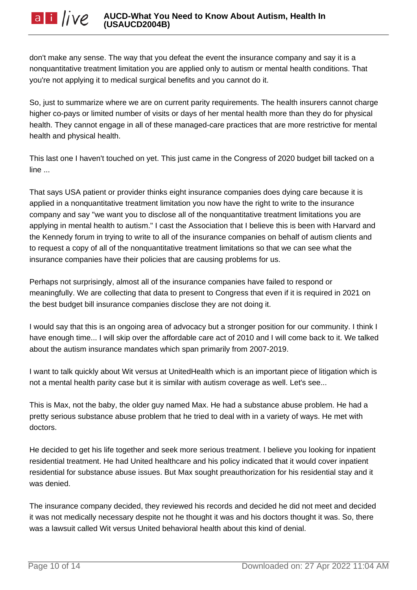don't make any sense. The way that you defeat the event the insurance company and say it is a nonquantitative treatment limitation you are applied only to autism or mental health conditions. That you're not applying it to medical surgical benefits and you cannot do it.

So, just to summarize where we are on current parity requirements. The health insurers cannot charge higher co-pays or limited number of visits or days of her mental health more than they do for physical health. They cannot engage in all of these managed-care practices that are more restrictive for mental health and physical health.

This last one I haven't touched on yet. This just came in the Congress of 2020 budget bill tacked on a line ...

That says USA patient or provider thinks eight insurance companies does dying care because it is applied in a nonquantitative treatment limitation you now have the right to write to the insurance company and say "we want you to disclose all of the nonquantitative treatment limitations you are applying in mental health to autism." I cast the Association that I believe this is been with Harvard and the Kennedy forum in trying to write to all of the insurance companies on behalf of autism clients and to request a copy of all of the nonquantitative treatment limitations so that we can see what the insurance companies have their policies that are causing problems for us.

Perhaps not surprisingly, almost all of the insurance companies have failed to respond or meaningfully. We are collecting that data to present to Congress that even if it is required in 2021 on the best budget bill insurance companies disclose they are not doing it.

I would say that this is an ongoing area of advocacy but a stronger position for our community. I think I have enough time... I will skip over the affordable care act of 2010 and I will come back to it. We talked about the autism insurance mandates which span primarily from 2007-2019.

I want to talk quickly about Wit versus at UnitedHealth which is an important piece of litigation which is not a mental health parity case but it is similar with autism coverage as well. Let's see...

This is Max, not the baby, the older guy named Max. He had a substance abuse problem. He had a pretty serious substance abuse problem that he tried to deal with in a variety of ways. He met with doctors.

He decided to get his life together and seek more serious treatment. I believe you looking for inpatient residential treatment. He had United healthcare and his policy indicated that it would cover inpatient residential for substance abuse issues. But Max sought preauthorization for his residential stay and it was denied.

The insurance company decided, they reviewed his records and decided he did not meet and decided it was not medically necessary despite not he thought it was and his doctors thought it was. So, there was a lawsuit called Wit versus United behavioral health about this kind of denial.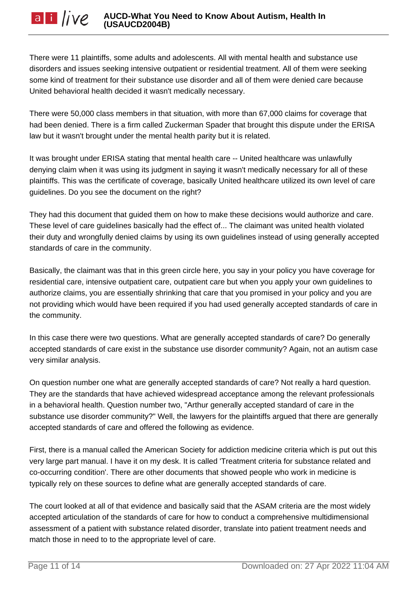There were 11 plaintiffs, some adults and adolescents. All with mental health and substance use disorders and issues seeking intensive outpatient or residential treatment. All of them were seeking some kind of treatment for their substance use disorder and all of them were denied care because United behavioral health decided it wasn't medically necessary.

There were 50,000 class members in that situation, with more than 67,000 claims for coverage that had been denied. There is a firm called Zuckerman Spader that brought this dispute under the ERISA law but it wasn't brought under the mental health parity but it is related.

It was brought under ERISA stating that mental health care -- United healthcare was unlawfully denying claim when it was using its judgment in saying it wasn't medically necessary for all of these plaintiffs. This was the certificate of coverage, basically United healthcare utilized its own level of care guidelines. Do you see the document on the right?

They had this document that guided them on how to make these decisions would authorize and care. These level of care guidelines basically had the effect of... The claimant was united health violated their duty and wrongfully denied claims by using its own guidelines instead of using generally accepted standards of care in the community.

Basically, the claimant was that in this green circle here, you say in your policy you have coverage for residential care, intensive outpatient care, outpatient care but when you apply your own guidelines to authorize claims, you are essentially shrinking that care that you promised in your policy and you are not providing which would have been required if you had used generally accepted standards of care in the community.

In this case there were two questions. What are generally accepted standards of care? Do generally accepted standards of care exist in the substance use disorder community? Again, not an autism case very similar analysis.

On question number one what are generally accepted standards of care? Not really a hard question. They are the standards that have achieved widespread acceptance among the relevant professionals in a behavioral health. Question number two, "Arthur generally accepted standard of care in the substance use disorder community?" Well, the lawyers for the plaintiffs argued that there are generally accepted standards of care and offered the following as evidence.

First, there is a manual called the American Society for addiction medicine criteria which is put out this very large part manual. I have it on my desk. It is called 'Treatment criteria for substance related and co-occurring condition'. There are other documents that showed people who work in medicine is typically rely on these sources to define what are generally accepted standards of care.

The court looked at all of that evidence and basically said that the ASAM criteria are the most widely accepted articulation of the standards of care for how to conduct a comprehensive multidimensional assessment of a patient with substance related disorder, translate into patient treatment needs and match those in need to to the appropriate level of care.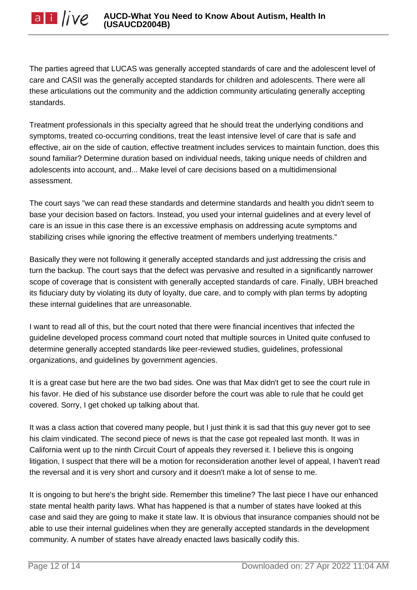The parties agreed that LUCAS was generally accepted standards of care and the adolescent level of care and CASII was the generally accepted standards for children and adolescents. There were all these articulations out the community and the addiction community articulating generally accepting standards.

Treatment professionals in this specialty agreed that he should treat the underlying conditions and symptoms, treated co-occurring conditions, treat the least intensive level of care that is safe and effective, air on the side of caution, effective treatment includes services to maintain function, does this sound familiar? Determine duration based on individual needs, taking unique needs of children and adolescents into account, and... Make level of care decisions based on a multidimensional assessment.

The court says "we can read these standards and determine standards and health you didn't seem to base your decision based on factors. Instead, you used your internal guidelines and at every level of care is an issue in this case there is an excessive emphasis on addressing acute symptoms and stabilizing crises while ignoring the effective treatment of members underlying treatments."

Basically they were not following it generally accepted standards and just addressing the crisis and turn the backup. The court says that the defect was pervasive and resulted in a significantly narrower scope of coverage that is consistent with generally accepted standards of care. Finally, UBH breached its fiduciary duty by violating its duty of loyalty, due care, and to comply with plan terms by adopting these internal guidelines that are unreasonable.

I want to read all of this, but the court noted that there were financial incentives that infected the guideline developed process command court noted that multiple sources in United quite confused to determine generally accepted standards like peer-reviewed studies, guidelines, professional organizations, and guidelines by government agencies.

It is a great case but here are the two bad sides. One was that Max didn't get to see the court rule in his favor. He died of his substance use disorder before the court was able to rule that he could get covered. Sorry, I get choked up talking about that.

It was a class action that covered many people, but I just think it is sad that this guy never got to see his claim vindicated. The second piece of news is that the case got repealed last month. It was in California went up to the ninth Circuit Court of appeals they reversed it. I believe this is ongoing litigation, I suspect that there will be a motion for reconsideration another level of appeal, I haven't read the reversal and it is very short and cursory and it doesn't make a lot of sense to me.

It is ongoing to but here's the bright side. Remember this timeline? The last piece I have our enhanced state mental health parity laws. What has happened is that a number of states have looked at this case and said they are going to make it state law. It is obvious that insurance companies should not be able to use their internal guidelines when they are generally accepted standards in the development community. A number of states have already enacted laws basically codify this.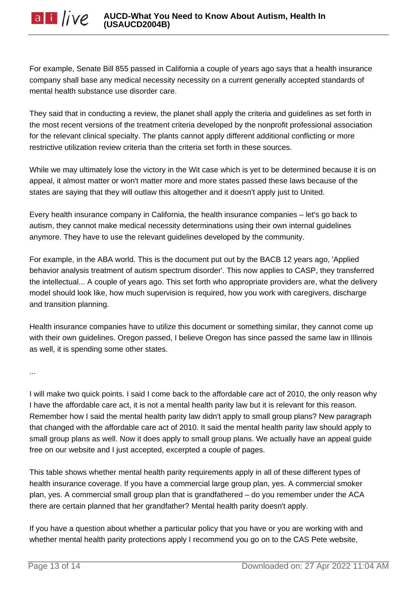For example, Senate Bill 855 passed in California a couple of years ago says that a health insurance company shall base any medical necessity necessity on a current generally accepted standards of mental health substance use disorder care.

They said that in conducting a review, the planet shall apply the criteria and guidelines as set forth in the most recent versions of the treatment criteria developed by the nonprofit professional association for the relevant clinical specialty. The plants cannot apply different additional conflicting or more restrictive utilization review criteria than the criteria set forth in these sources.

While we may ultimately lose the victory in the Wit case which is yet to be determined because it is on appeal, it almost matter or won't matter more and more states passed these laws because of the states are saying that they will outlaw this altogether and it doesn't apply just to United.

Every health insurance company in California, the health insurance companies – let's go back to autism, they cannot make medical necessity determinations using their own internal guidelines anymore. They have to use the relevant guidelines developed by the community.

For example, in the ABA world. This is the document put out by the BACB 12 years ago, 'Applied behavior analysis treatment of autism spectrum disorder'. This now applies to CASP, they transferred the intellectual... A couple of years ago. This set forth who appropriate providers are, what the delivery model should look like, how much supervision is required, how you work with caregivers, discharge and transition planning.

Health insurance companies have to utilize this document or something similar, they cannot come up with their own guidelines. Oregon passed, I believe Oregon has since passed the same law in Illinois as well, it is spending some other states.

...

I will make two quick points. I said I come back to the affordable care act of 2010, the only reason why I have the affordable care act, it is not a mental health parity law but it is relevant for this reason. Remember how I said the mental health parity law didn't apply to small group plans? New paragraph that changed with the affordable care act of 2010. It said the mental health parity law should apply to small group plans as well. Now it does apply to small group plans. We actually have an appeal guide free on our website and I just accepted, excerpted a couple of pages.

This table shows whether mental health parity requirements apply in all of these different types of health insurance coverage. If you have a commercial large group plan, yes. A commercial smoker plan, yes. A commercial small group plan that is grandfathered – do you remember under the ACA there are certain planned that her grandfather? Mental health parity doesn't apply.

If you have a question about whether a particular policy that you have or you are working with and whether mental health parity protections apply I recommend you go on to the CAS Pete website,